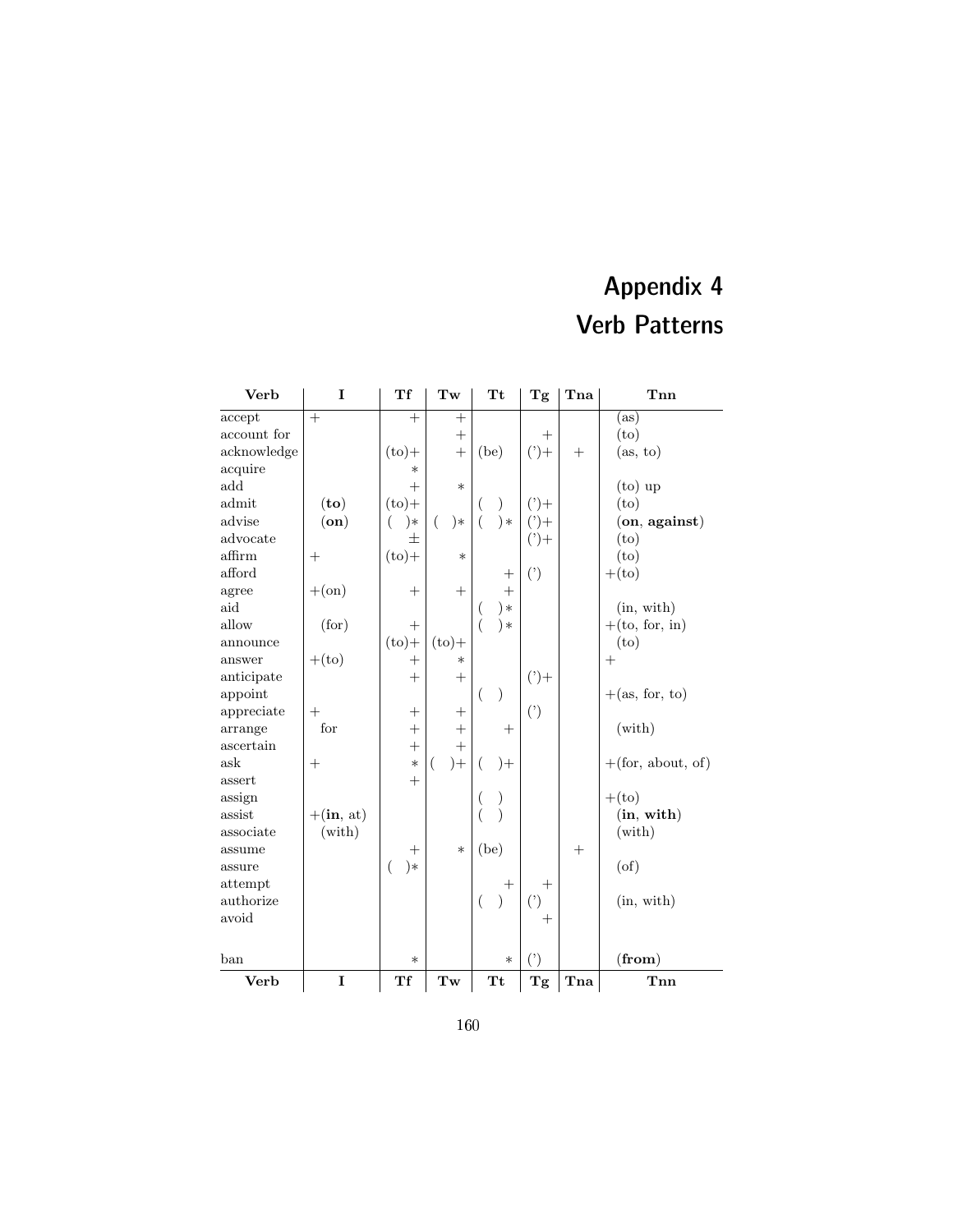## Appendix 4 Verb Patterns

| <b>Verb</b> | I                         | Тf                 | Tw         | <b>Tt</b>          | Tg          | Tna | Tnn                     |
|-------------|---------------------------|--------------------|------------|--------------------|-------------|-----|-------------------------|
| accept      | $+$                       | $^{+}$             | $+$        |                    |             |     | (as)                    |
| account for |                           |                    | $+$        |                    | $^{+}$      |     | (to)                    |
| acknowledge |                           | $(to) +$           | $+$        | (be)               | $(2) +$     |     | (as, to)                |
| acquire     |                           | $\ast$             |            |                    |             |     |                         |
| add         |                           | $^{+}$             | $\ast$     |                    |             |     | $(to)$ up               |
| admit       | (to)                      | $(to)$ +           |            |                    | $(2) +$     |     | (t <sub>O</sub> )       |
| advise      | $($ on $)$                | €<br>)∗            | €<br>$)*$  | $\ast$             | $(2) +$     |     | $($ on, against $)$     |
| advocate    |                           | 士                  |            |                    | $(2) +$     |     | (to)                    |
| affirm      | $^{+}$                    | $(to) +$           | $\ast$     |                    |             |     | (to)                    |
| afford      |                           |                    |            | $^{+}$             | $($ ')      |     | $+(to)$                 |
| agree       | $+(\text{on})$            | $^{+}$             | $^{+}$     | $^{+}$             |             |     |                         |
| aid         |                           |                    |            | ) ∗                |             |     | (in, with)              |
| allow       | (for)                     | $^{+}$             |            | )∗                 |             |     | $+(to, for, in)$        |
| announce    |                           | $(to) +$           | $(to) +$   |                    |             |     | (to)                    |
| answer      | $+(to)$                   | $^{+}$             | $\ast$     |                    |             |     | $^{+}$                  |
| anticipate  |                           | $^{+}$             | $+$        |                    | $(2) +$     |     |                         |
| appoint     |                           |                    |            | $\mathcal{E}$<br>€ |             |     | $+(\text{as, for, to})$ |
| appreciate  | $^{+}$                    | $^{+}$             | $^{+}$     |                    | $(\dot{ })$ |     |                         |
| arrange     | for                       | $^{+}$             | $+$        | $^{+}$             |             |     | (with)                  |
| ascertain   |                           | $^{+}$             | $^{+}$     |                    |             |     |                         |
| ask         | $^{+}$                    | $\ast$             | $) +$<br>( | (<br>$)+$          |             |     | $+(for, about, of)$     |
| assert      |                           | $^{+}$             |            |                    |             |     |                         |
| assign      |                           |                    |            | )<br>(             |             |     | $+(to)$                 |
| assist      | $+(\text{in}, \text{at})$ |                    |            | $\mathcal{E}$      |             |     | (in, with)              |
| associate   | $(\text{with})$           |                    |            |                    |             |     | $(\text{with})$         |
| assume      |                           | $\hspace{0.1mm} +$ | $\ast$     | (be)               |             | $+$ |                         |
| assure      |                           | $)*$<br>(          |            |                    |             |     | (of)                    |
| attempt     |                           |                    |            | $\hspace{0.1mm} +$ | $^{+}$      |     |                         |
| authorize   |                           |                    |            | $\left($           | $($ ')      |     | (in, with)              |
| avoid       |                           |                    |            |                    | $^{+}$      |     |                         |
|             |                           |                    |            |                    |             |     |                         |
| ban         |                           | $\ast$             |            | $\ast$             | $($ ')      |     | (from)                  |
| Verb        | $\mathbf I$               | Tf                 | Tw         | <b>Tt</b>          | Tg          | Tna | Tnn                     |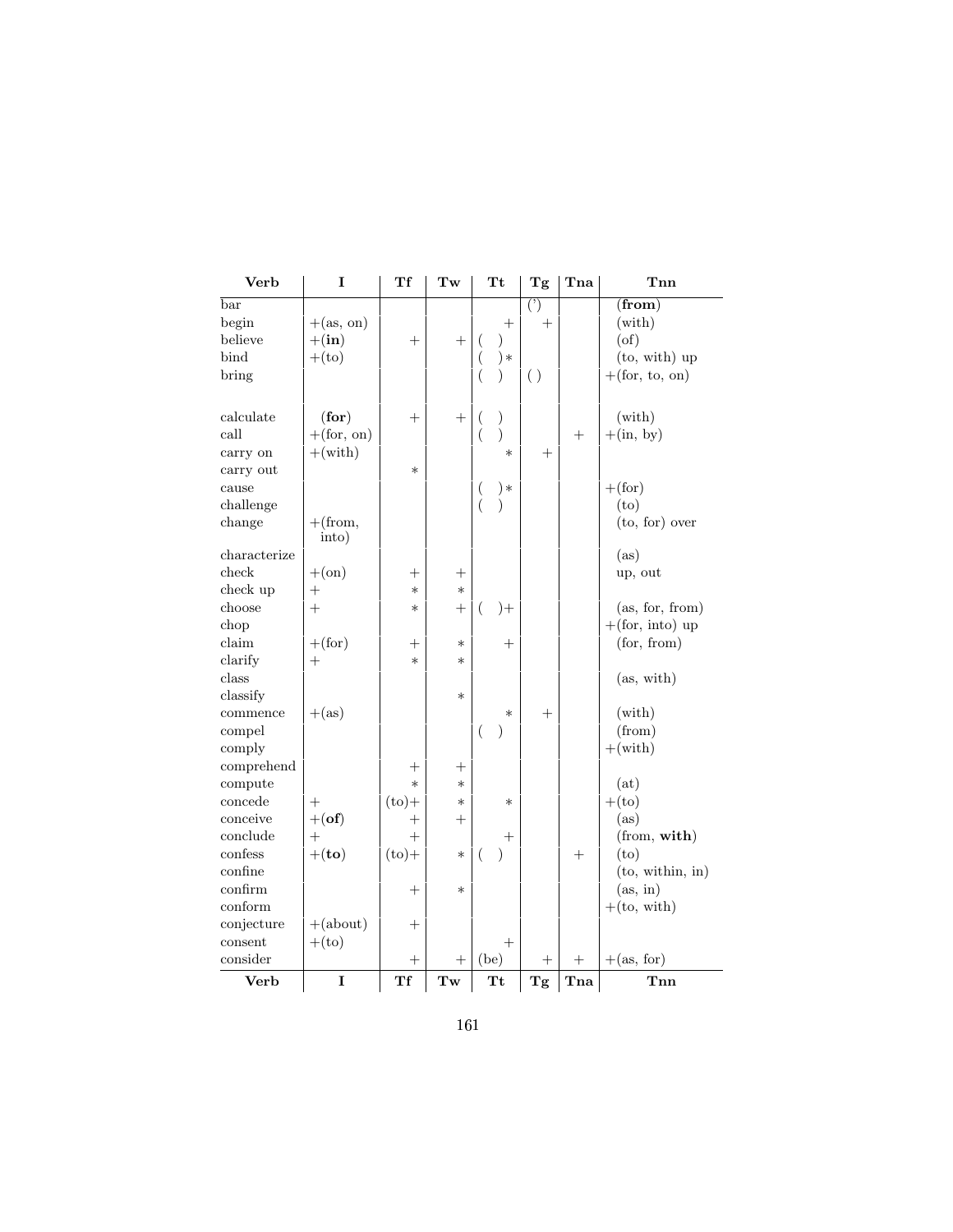| Verb         | I                         | Тf                 | Tw                 | <b>Tt</b>        |               | $\mathbf{T}\mathbf{g}$ | Tna    | Tnn                       |
|--------------|---------------------------|--------------------|--------------------|------------------|---------------|------------------------|--------|---------------------------|
| $_{\rm bar}$ |                           |                    |                    |                  |               | $\overline{()}$        |        | $(\mathbf{from})$         |
| begin        | $+(\text{as}, \text{on})$ |                    |                    |                  | $^{+}$        | $^{+}$                 |        | $(\text{with})$           |
| believe      | $+(\text{in})$            | $^{+}$             | $^{+}$             | (                | $\mathcal{E}$ |                        |        | $(\text{of})$             |
| bind         | $+(to)$                   |                    |                    | $\left($         | $) *$         |                        |        | $(to, with)$ up           |
| bring        |                           |                    |                    | $\left($         | $\mathcal{E}$ | ( )                    |        | $+(for, to, on)$          |
|              |                           |                    |                    |                  |               |                        |        |                           |
| calculate    | (for)                     | $^{+}$             | $^{+}$             | (                | $\mathcal{C}$ |                        |        | $(\text{with})$           |
| call         | $+(\text{for, on})$       |                    |                    | $\overline{(}$   | )             |                        | $+$    | $+(\text{in}, \text{by})$ |
| carry on     | $+(with)$                 |                    |                    |                  | $\ast$        | $^{+}$                 |        |                           |
| carry out    |                           | $\ast$             |                    |                  |               |                        |        |                           |
| cause        |                           |                    |                    | $\overline{(}$   | $) *$         |                        |        | $+(\text{for})$           |
| challenge    |                           |                    |                    | $\overline{(\ }$ | $\mathcal{E}$ |                        |        | (to)                      |
| change       | $+(from,$<br>into)        |                    |                    |                  |               |                        |        | (to, for) over            |
| characterize |                           |                    |                    |                  |               |                        |        | (as)                      |
| check        | $+(\text{on})$            | $^{+}$             | $^{+}$             |                  |               |                        |        | up, out                   |
| check up     | $^{+}$                    | $\ast$             | $\ast$             |                  |               |                        |        |                           |
| choose       | $+$                       | $\ast$             | $+$                | (                | $^{+}$        |                        |        | (as, for, from)           |
| chop         |                           |                    |                    |                  |               |                        |        | $+(for, into)$ up         |
| claim        | $+$ (for)                 | $^+$               | $\ast$             |                  | $\pm$         |                        |        | (for, from)               |
| clarify      | $+$                       | $\ast$             | $\ast$             |                  |               |                        |        |                           |
| class        |                           |                    |                    |                  |               |                        |        | (as, with)                |
| classify     |                           |                    | $\ast$             |                  |               |                        |        |                           |
| commence     | $+(\mathrm{as})$          |                    |                    |                  | $\ast$        | $^{+}$                 |        | $(\text{with})$           |
| compel       |                           |                    |                    | $\overline{ }$   | $\mathcal{E}$ |                        |        | (from)                    |
| comply       |                           |                    |                    |                  |               |                        |        | $+(with)$                 |
| comprehend   |                           | $^{+}$             | $^{+}$             |                  |               |                        |        |                           |
| compute      |                           | $\ast$             | $\ast$             |                  |               |                        |        | (at)                      |
| concede      | $^{+}$                    | $(to) +$           | $\ast$             |                  | $\ast$        |                        |        | $+(to)$                   |
| conceive     | $+$ (of)                  | $^{+}$             | $^{+}$             |                  |               |                        |        | (as)                      |
| conclude     | $+$                       | $^{+}$             |                    |                  | $^+$          |                        |        | (from, with)              |
| confess      | $+$ (to)                  | $(to) +$           | $\ast$             | (                | $\lambda$     |                        | $+$    | (t <sub>O</sub> )         |
| confine      |                           |                    |                    |                  |               |                        |        | (to, within, in)          |
| confirm      |                           | $\pm$              | $\ast$             |                  |               |                        |        | (as, in)                  |
| conform      |                           |                    |                    |                  |               |                        |        | $+(to, with)$             |
| conjecture   | $+(about)$                | $^{+}$             |                    |                  |               |                        |        |                           |
| consent      | $+(to)$                   |                    |                    |                  | $^{+}$        |                        |        |                           |
| consider     |                           | $\hspace{0.1mm} +$ | $\hspace{0.1mm} +$ | (be)             |               | $^{+}$                 | $^{+}$ | $+(\text{as, for})$       |
| <b>Verb</b>  | I                         | Tf                 | Tw                 | <b>Tt</b>        |               | Tg                     | Tna    | Tnn                       |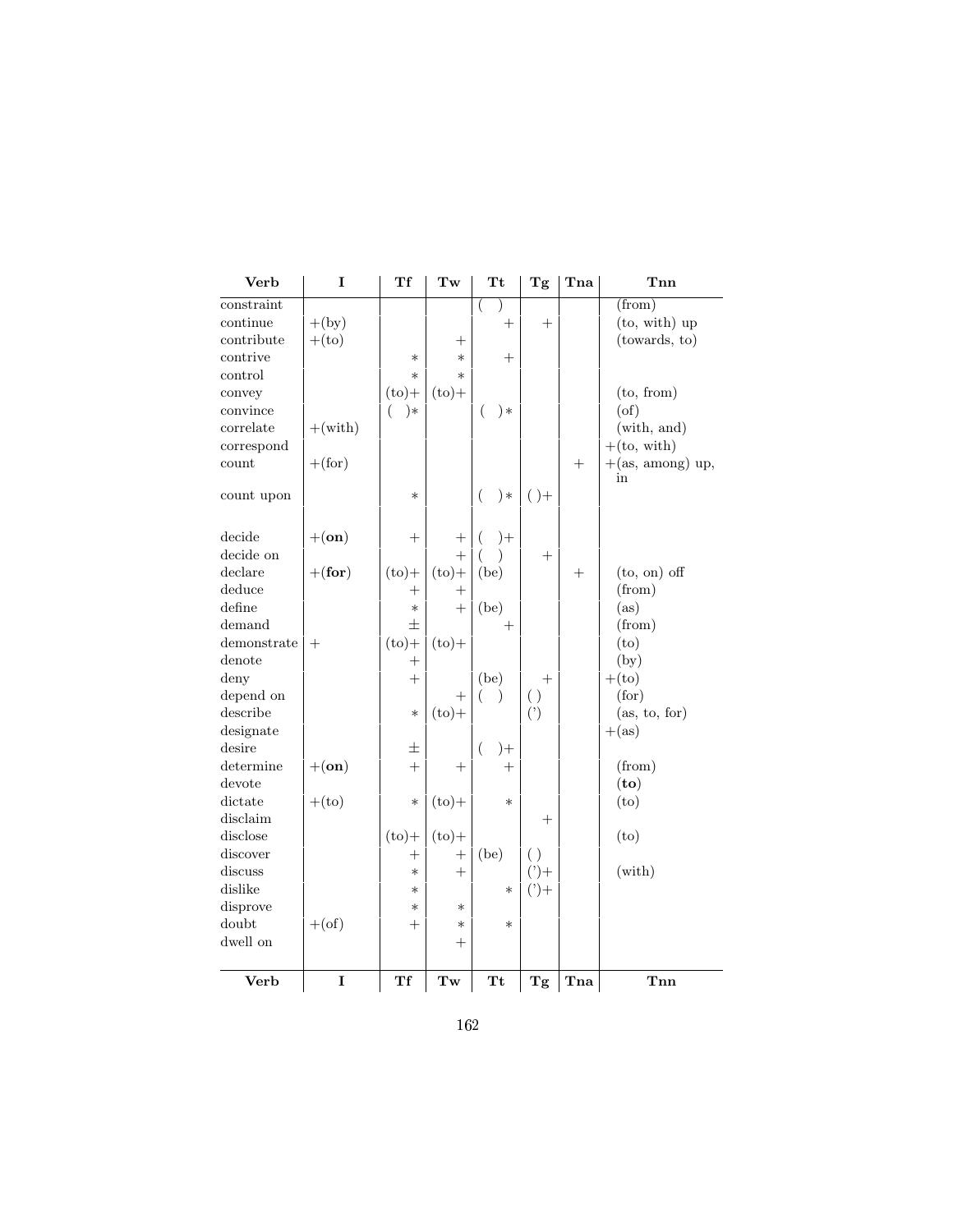| <b>Verb</b> | I                | Тf         | $\mathbf{Tw}% (G_{\mathcal{A}}^{\alpha,\alpha}(\mathcal{A})\otimes\mathcal{A}^{\alpha,\alpha}(\mathcal{A}))=\mathbf{Tw}% (\mathcal{A}^{\alpha,\alpha}(\mathcal{A}))$ | <b>Tt</b>          | Tg                 | Tna  | Tnn                       |
|-------------|------------------|------------|----------------------------------------------------------------------------------------------------------------------------------------------------------------------|--------------------|--------------------|------|---------------------------|
| constraint  |                  |            |                                                                                                                                                                      |                    |                    |      | (from)                    |
| continue    | $+(\mathrm{by})$ |            |                                                                                                                                                                      | $\hspace{0.1mm} +$ | $^{+}$             |      | (to, with) up             |
| contribute  | $+(to)$          |            | $\hspace{0.1mm} +$                                                                                                                                                   |                    |                    |      | (towards, to)             |
| contrive    |                  | $\ast$     | $\ast$                                                                                                                                                               | $^{+}$             |                    |      |                           |
| control     |                  | $\ast$     | $\ast$                                                                                                                                                               |                    |                    |      |                           |
| convey      |                  | $(to) +$   | $(to) +$                                                                                                                                                             |                    |                    |      | (to, from)                |
| convince    |                  | $) *$<br>( |                                                                                                                                                                      | $) *$<br>€         |                    |      | $(\text{of})$             |
| correlate   | $+(with)$        |            |                                                                                                                                                                      |                    |                    |      | (with, and)               |
| correspond  |                  |            |                                                                                                                                                                      |                    |                    |      | $+(to, with)$             |
| count       | $+(\text{for})$  |            |                                                                                                                                                                      |                    |                    | $+$  | $+(\text{as, among})$ up, |
|             |                  |            |                                                                                                                                                                      |                    |                    |      | in                        |
| count upon  |                  | $\ast$     |                                                                                                                                                                      | $) *$<br>$\left($  | $( )+$             |      |                           |
|             |                  |            |                                                                                                                                                                      |                    |                    |      |                           |
| decide      | $+(\mathbf{on})$ |            | $^{+}$                                                                                                                                                               | $)+$               |                    |      |                           |
| decide on   |                  |            | $\ddot{}$                                                                                                                                                            |                    | $^{+}$             |      |                           |
| declare     | $+({for})$       | $(to) +$   | $(to) +$                                                                                                                                                             | (be)               |                    | $^+$ | $(to, on)$ off            |
| deduce      |                  | $^{+}$     | $^{+}$                                                                                                                                                               |                    |                    |      | (from)                    |
| define      |                  | $\ast$     | $^{+}$                                                                                                                                                               | (be)               |                    |      | (as)                      |
| demand      |                  | $\pm$      |                                                                                                                                                                      | $\hspace{0.1mm} +$ |                    |      | (from)                    |
| demonstrate | $^{+}$           | $(to) +$   | $(to) +$                                                                                                                                                             |                    |                    |      | (to)                      |
| denote      |                  |            |                                                                                                                                                                      |                    |                    |      | (by)                      |
| deny        |                  | $\ddot{}$  |                                                                                                                                                                      | (be)               | $\hspace{0.1mm} +$ |      | $+(to)$                   |
| depend on   |                  |            | $^{+}$                                                                                                                                                               |                    | ( )                |      | (for)                     |
| describe    |                  | $\ast$     | $(to) +$                                                                                                                                                             |                    | (')                |      | (as, to, for)             |
| designate   |                  |            |                                                                                                                                                                      |                    |                    |      | $+(\mathrm{as})$          |
| desire      |                  | 土          |                                                                                                                                                                      | $\left($<br>$^{+}$ |                    |      |                           |
| determine   | $+(\mathbf{on})$ | $^{+}$     | $^{+}$                                                                                                                                                               | $^{+}$             |                    |      | (from)                    |
| devote      |                  |            |                                                                                                                                                                      |                    |                    |      | (to)                      |
| dictate     | $+(to)$          | $\ast$     | $(to) +$                                                                                                                                                             | $\ast$             |                    |      | (to)                      |
| disclaim    |                  |            |                                                                                                                                                                      |                    | $\hspace{0.1mm} +$ |      |                           |
| disclose    |                  | $(to) +$   | $(to) +$                                                                                                                                                             |                    |                    |      | (to)                      |
| discover    |                  |            | $^{+}$                                                                                                                                                               | (be)               | $\left( \ \right)$ |      |                           |
| discuss     |                  | $\ast$     | $\hspace{0.1mm} +$                                                                                                                                                   |                    | $(2) +$            |      | (with)                    |
| dislike     |                  | $\ast$     |                                                                                                                                                                      | $\ast$             | $(2) +$            |      |                           |
| disprove    |                  | $\ast$     | $\ast$                                                                                                                                                               |                    |                    |      |                           |
| doubt       | $+(of)$          | $^{+}$     | $\ast$                                                                                                                                                               | $\ast$             |                    |      |                           |
| dwell on    |                  |            | $^{+}$                                                                                                                                                               |                    |                    |      |                           |
|             |                  |            |                                                                                                                                                                      |                    |                    |      |                           |
| Verb        | I                | Tf         | $\mathbf{Tw}% \left( \mathcal{N}\right)$                                                                                                                             | Tt                 | Tg                 | Tna  | Tnn                       |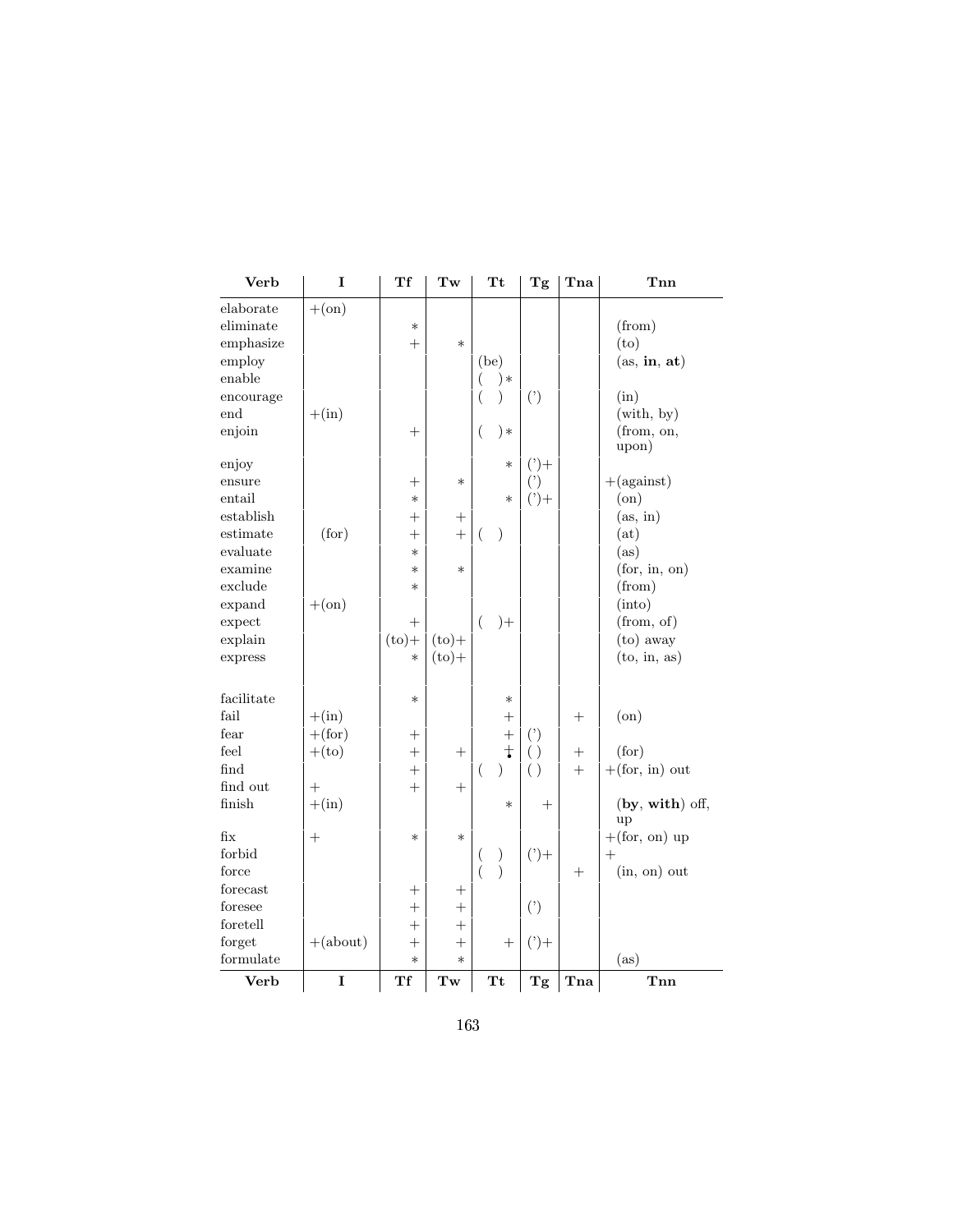| Verb        | I              | Тf                               | Tw                                       | $\mathbf{T} \mathbf{t}$   | Tg                             | Tna                | Tnn                         |
|-------------|----------------|----------------------------------|------------------------------------------|---------------------------|--------------------------------|--------------------|-----------------------------|
| elaborate   | $+(\text{on})$ |                                  |                                          |                           |                                |                    |                             |
| eliminate   |                | $\ast$                           |                                          |                           |                                |                    | (from)                      |
| emphasize   |                | $^{+}$                           | $\ast$                                   |                           |                                |                    | (to)                        |
| employ      |                |                                  |                                          | (be)                      |                                |                    | (as, in, at)                |
| enable      |                |                                  |                                          | $) *$                     |                                |                    |                             |
| encourage   |                |                                  |                                          | )                         | $(\dot{ })$                    |                    | (in)                        |
| end         | $+(\text{in})$ |                                  |                                          |                           |                                |                    | $(\text{with}, \text{ by})$ |
| enjoin      |                | $^{+}$                           |                                          | $\left($<br>)∗            |                                |                    | (from, on,                  |
|             |                |                                  |                                          |                           |                                |                    | upon)                       |
| enjoy       |                |                                  |                                          | $\ast$                    | $(2) +$                        |                    |                             |
| ensure      |                | $^+$                             | $\ast$                                   |                           | $^{\left( \mathbf{?}\right) }$ |                    | $+(against)$                |
| entail      |                | $\ast$                           |                                          | $\ast$                    | $(2) +$                        |                    | (on)                        |
| establish   |                | $^{+}$                           | $\hspace{0.1mm} +$                       |                           |                                |                    | (as, in)                    |
| estimate    | (for)          | $^{+}$                           | $^{+}$                                   | (<br>$\mathcal{E}$        |                                |                    | (at)                        |
| evaluate    |                | $\ast$                           |                                          |                           |                                |                    | (as)                        |
| examine     |                | $\ast$                           | $\ast$                                   |                           |                                |                    | (for, in, on)               |
| exclude     |                | $\ast$                           |                                          |                           |                                |                    | (from)                      |
| expand      | $+(\text{on})$ |                                  |                                          |                           |                                |                    | (into)                      |
| expect      |                | $^{+}$                           |                                          | $)+$<br>(                 |                                |                    | (from, of)                  |
| explain     |                | $(to) +$                         | $(to) +$                                 |                           |                                |                    | (to) away                   |
| express     |                | $\ast$                           | $(to) +$                                 |                           |                                |                    | (to, in, as)                |
| facilitate  |                | $\ast$                           |                                          | $\ast$                    |                                |                    |                             |
| fail        | $+(\text{in})$ |                                  |                                          | $\hspace{0.1mm} +$        |                                | $\hspace{0.1mm} +$ | $($ on $)$                  |
| fear        | $+$ (for)      | $^+$                             |                                          | $^{+}$                    | $($ ')                         |                    |                             |
| feel        | $+(to)$        | $^{+}$                           | $^{+}$                                   | $\ddagger$                | ( )                            | $^+$               | (for)                       |
| find        |                | $^{+}$                           |                                          | $\mathcal{E}$<br>(        | ( )                            | $^{+}$             | $+(for, in)$ out            |
| find out    | $^{+}$         | $^{+}$                           | $\hspace{0.1mm} +$                       |                           |                                |                    |                             |
| finish      | $+(\text{in})$ |                                  |                                          | $\ast$                    | $^{+}$                         |                    | (by, with) off,             |
| fix         | $+$            | $\ast$                           | $\ast$                                   |                           |                                |                    | up<br>$+(for, on)$ up       |
| forbid      |                |                                  |                                          | )<br>(                    | $(2) +$                        |                    | $+$                         |
| force       |                |                                  |                                          | $\overline{(}$<br>$\big)$ |                                | $\hspace{0.1mm} +$ | $(in, on)$ out              |
| $f$ orecast |                | $\hspace{0.1mm} +$               | $\hspace{0.1mm} +$                       |                           |                                |                    |                             |
| foresee     |                | $\hspace{0.1mm} +\hspace{0.1mm}$ | $\hspace{0.1mm} +$                       |                           | $($ ')                         |                    |                             |
| foretell    |                | $^{+}$                           | $^{+}$                                   |                           |                                |                    |                             |
| forget      | $+(about)$     | $^{+}$                           | $^{+}$                                   | $\hspace{0.1mm} +$        | $(2) +$                        |                    |                             |
| formulate   |                | $\ast$                           | $\ast$                                   |                           |                                |                    | (as)                        |
| Verb        | I              | Tf                               | $\mathbf{Tw}% \left( \mathcal{N}\right)$ | Tt                        | Tg                             | Tna                | Tnn                         |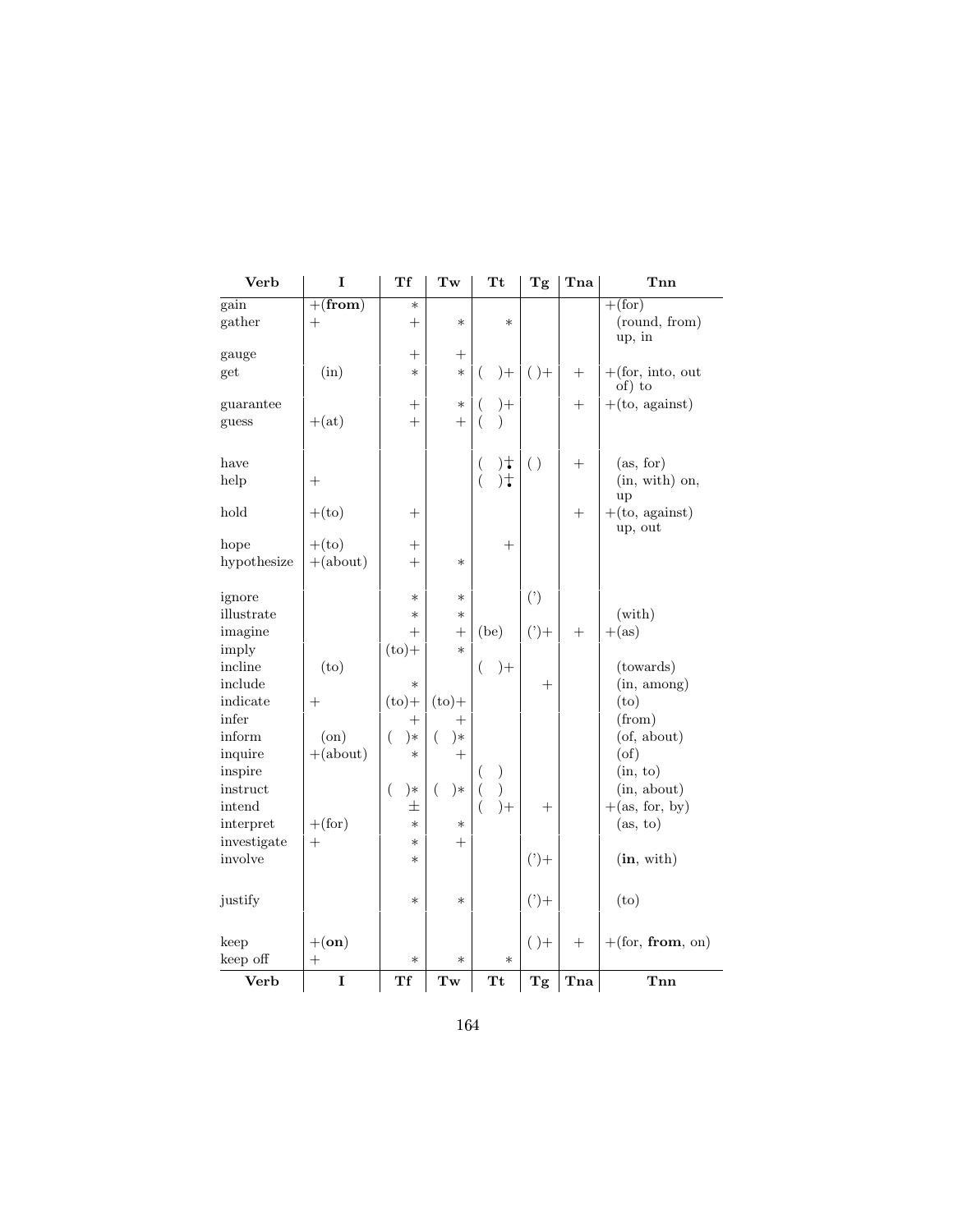| Verb             | I                  | Tf                 | Tw                                                                               | <b>Tt</b>                         | Tg          | Tna    | Tnn                           |
|------------------|--------------------|--------------------|----------------------------------------------------------------------------------|-----------------------------------|-------------|--------|-------------------------------|
| gain             | $+(from)$          | $\ast$             |                                                                                  |                                   |             |        | $+(for)$                      |
| gather           | $^{+}$             | $^{+}$             | $\ast$                                                                           | $\ast$                            |             |        | (round, from)<br>up, in       |
| gauge            |                    | $^{+}$             | $\hspace{0.1mm} +$                                                               |                                   |             |        |                               |
| get              | (in)               | $\ast$             | $\ast$                                                                           | $)+$<br>(                         | $( )+$      | $^{+}$ | $+(for, into, out)$<br>of) to |
| guarantee        |                    | $^+$               | $\ast$                                                                           | $^{+}$                            |             | $^+$   | $+(to, against)$              |
| guess            | $+(at)$            | $^{+}$             | $^{+}$                                                                           |                                   |             |        |                               |
| have             |                    |                    |                                                                                  | $)^+$<br>$\overline{\mathcal{L}}$ | ( )         |        | (as, for)                     |
| help             | $^{+}$             |                    |                                                                                  | $)+$                              |             |        | (in, with) on,<br>up          |
| hold             | $+(to)$            | $^{+}$             |                                                                                  |                                   |             | $^{+}$ | $+(to, against)$<br>up, out   |
| hope             | $+(to)$            | $^{+}$             |                                                                                  | $^{+}$                            |             |        |                               |
| hypothesize      | $+(about)$         | $^{+}$             | $\ast$                                                                           |                                   |             |        |                               |
| ignore           |                    | $\ast$             | $\ast$                                                                           |                                   | $(\dot{ })$ |        |                               |
| illustrate       |                    | $\ast$             | $\ast$                                                                           |                                   |             |        | $(\text{with})$               |
| imagine<br>imply |                    | $^{+}$<br>$(to) +$ | $^{+}$<br>$\ast$                                                                 | (be)                              | $(')+$      | $+$    | $+(\mathrm{as})$              |
| incline          | (to)               |                    |                                                                                  | $\left($<br>$)+$                  |             |        | (towards)                     |
| include          |                    | $\ast$             |                                                                                  |                                   | $^{+}$      |        | (in, among)                   |
| indicate         | $^{+}$             | $(to)$ +           | $(to)$ +                                                                         |                                   |             |        | (to)                          |
| infer            |                    | $^{+}$             | $^{+}$                                                                           |                                   |             |        | (from)                        |
| inform           | $($ on $)$         | $) *$<br>$\left($  | )∗<br>€                                                                          |                                   |             |        | (of, about)                   |
| inquire          | $+(about)$         | $\ast$             | $^{+}$                                                                           |                                   |             |        | (of)                          |
| inspire          |                    |                    |                                                                                  | )                                 |             |        | (in, to)                      |
| instruct         |                    | $\left($<br>)∗     | $\left($<br>)∗                                                                   |                                   |             |        | (in, about)                   |
| intend           |                    | 士                  |                                                                                  | $) +$                             | $^{+}$      |        | $+(\text{as, for, by})$       |
| interpret        | $+(\text{for})$    | $\ast$             | $\ast$                                                                           |                                   |             |        | (as, to)                      |
| investigate      | $^{+}$             | $\ast$             | $^{+}$                                                                           |                                   |             |        |                               |
| involve          |                    | $\ast$             |                                                                                  |                                   | $(2) +$     |        | (in, with)                    |
| justify          |                    | $\ast$             | $\ast$                                                                           |                                   | $(') +$     |        | (to)                          |
| keep             | $+(\mathbf{on})$   |                    |                                                                                  |                                   | $( )+$      | $^{+}$ | $+(for, from, on)$            |
| keep off         | $\hspace{0.1mm} +$ | $\ast$             | $\ast$                                                                           | $\ast$                            |             |        |                               |
| Verb             | I                  | Tf                 | $\mathbf{Tw}% \left( \mathcal{N}\right) =\mathbf{Tw}% \left( \mathcal{N}\right)$ | Tt                                | Tg          | Tna    | Tnn                           |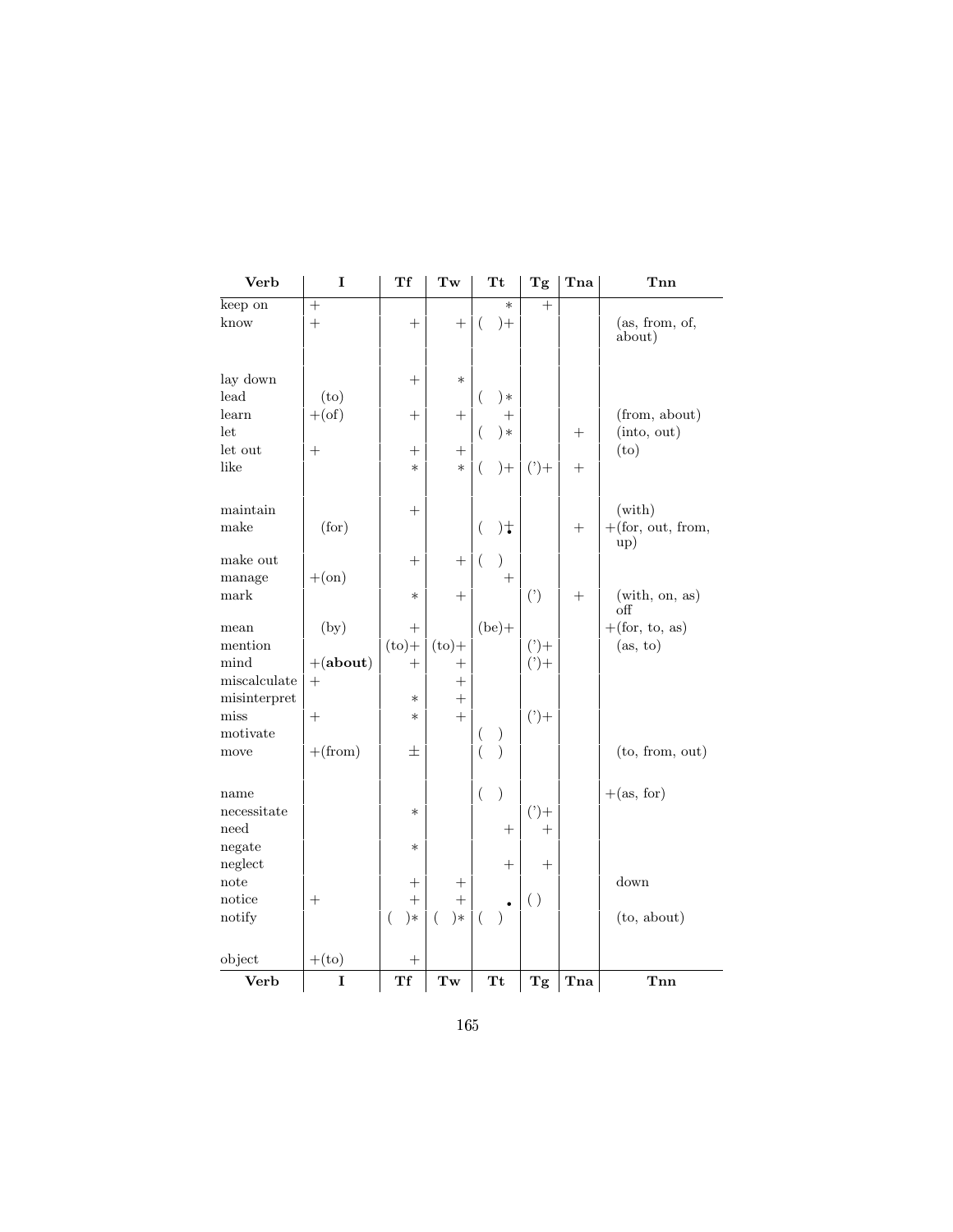| Verb            | I                  | Tf                | Tw                | <b>Tt</b>                       | Tg      | Tna                     | Tnn                                            |
|-----------------|--------------------|-------------------|-------------------|---------------------------------|---------|-------------------------|------------------------------------------------|
| keep on         | $^{+}$             |                   |                   | $\ast$                          | $+$     |                         |                                                |
| know            | $^{+}$             | $^{+}$            | $^{+}$            | (<br>$) +$                      |         |                         | (as, from, of,<br>about)                       |
|                 |                    |                   |                   |                                 |         |                         |                                                |
| lay down        |                    | $^{+}$            | $\ast$            |                                 |         |                         |                                                |
| lead            | (to)               |                   |                   | $) *$<br>(                      |         |                         |                                                |
| learn           | $+(of)$            | $^{+}$            | $^{+}$            | $^{+}$                          |         |                         | (from, about)                                  |
| let             |                    |                   |                   | )∗                              |         | $^+$                    | (into, out)                                    |
| let out         | $^{+}$             | $^{+}$            | $^+$              |                                 |         |                         | (to)                                           |
| like            |                    | $\ast$            | $\ast$            | €<br>$) +$                      | $(')+$  | $^{+}$                  |                                                |
| maintain        |                    | $^{+}$            |                   |                                 |         |                         | $(\text{with})$                                |
| make            | (for)              |                   |                   | $)+$<br>$\left($                |         | $^{+}$                  | $+(for, out, from,$                            |
|                 |                    |                   |                   |                                 |         |                         | up)                                            |
| make out        |                    | $^{+}$            | $^{+}$            | $\left($<br>)                   |         |                         |                                                |
| manage          | $+(\text{on})$     |                   |                   | $^{+}$                          |         |                         |                                                |
| mark            |                    | $\ast$            | $^+$              |                                 | (')     | $^{+}$                  | $(\text{with}, \text{ on}, \text{ as})$<br>off |
| mean            | (by)               | $^{+}$            |                   | $(be) +$                        |         |                         | $+(\text{for, to, as})$                        |
| mention         |                    | $(to) +$          | $(to) +$          |                                 | $(2) +$ |                         | (as, to)                                       |
| mind            | $+(about)$         | $^{+}$            | $^+$              |                                 | $(2) +$ |                         |                                                |
| miscalculate    | $^{+}$             |                   | $^{+}$            |                                 |         |                         |                                                |
| misinterpret    |                    | $\ast$            | $^{+}$            |                                 |         |                         |                                                |
| miss            | $^{+}$             | $\ast$            | $\ddot{}$         |                                 | $(2) +$ |                         |                                                |
| motivate        |                    |                   |                   | $\overline{\phantom{a}}$<br>$)$ |         |                         |                                                |
| move            | $+(from)$          | 士                 |                   | $\mathcal{E}$                   |         |                         | (to, from, out)                                |
| name            |                    |                   |                   | $\left($<br>)                   |         |                         | $+(\text{as, for})$                            |
| necessitate     |                    | $\ast$            |                   |                                 | $(')+$  |                         |                                                |
| need            |                    |                   |                   | $^{+}$                          | $^{+}$  |                         |                                                |
| negate          |                    | $\ast$            |                   |                                 |         |                         |                                                |
| neglect         |                    |                   |                   | $^{+}$                          | $^{+}$  |                         |                                                |
| note            |                    | $^{+}$            | $^{+}$            |                                 |         |                         | down                                           |
| $_{\rm notice}$ | $\hspace{0.1mm} +$ | $^{+}$            | $^{+}$            |                                 | ( )     |                         |                                                |
| notify          |                    | $\left($<br>$) *$ | $\left($<br>$) *$ | (                               |         |                         | (to, about)                                    |
| object          | $+(to)$            | $^{+}$            |                   |                                 |         |                         |                                                |
| <b>Verb</b>     | I                  | Tf                | Tw                | <b>Tt</b>                       | Tg      | $\mathop{\mathrm{Tna}}$ | Tnn                                            |
|                 |                    |                   |                   |                                 |         |                         |                                                |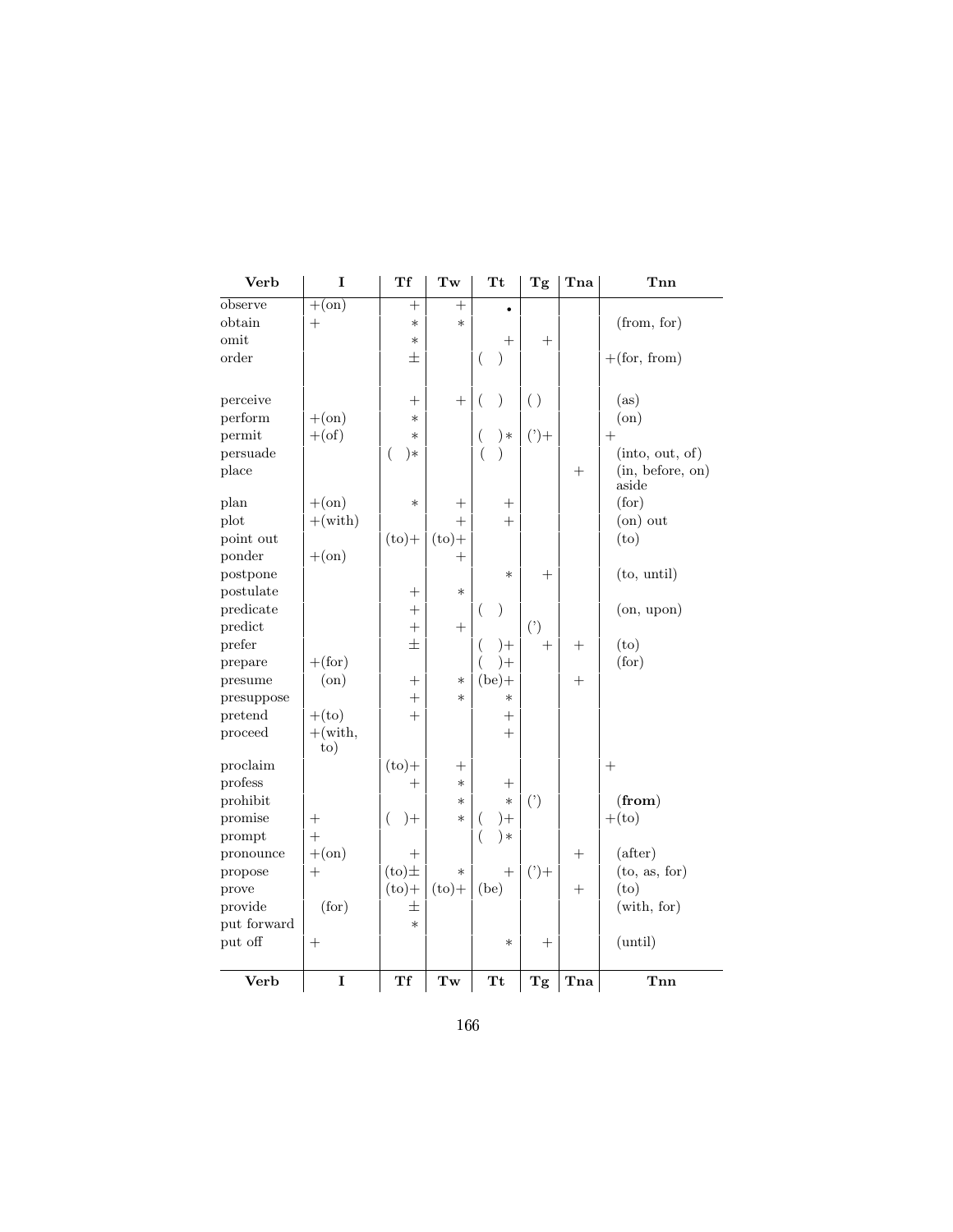| Verb        | I                       | Tf         | Tw                                       | Тt                        | Tg                     | Tna    | Tnn               |
|-------------|-------------------------|------------|------------------------------------------|---------------------------|------------------------|--------|-------------------|
| observe     | $+(\text{on})$          | $^{+}$     | $^{+}$                                   |                           |                        |        |                   |
| obtain      | $^{+}$                  | $\ast$     | $\ast$                                   |                           |                        |        | (from, for)       |
| omit        |                         | $\ast$     |                                          | $^+$                      | $^{+}$                 |        |                   |
| order       |                         | 士          |                                          | $\mathcal{E}$<br>$\left($ |                        |        | $+(for, from)$    |
|             |                         |            |                                          |                           |                        |        |                   |
| perceive    |                         | $\pm$      | $^{+}$                                   | $\mathcal{E}$<br>$\left($ | ( )                    |        | (as)              |
| perform     | $+(\text{on})$          | $\ast$     |                                          |                           |                        |        | (on)              |
| permit      | $+(of)$                 | $\ast$     |                                          | $) *$<br>$\left($         | $(2) +$                |        | $^{+}$            |
| persuade    |                         | (<br>$)*$  |                                          |                           |                        |        | (into, out, of)   |
| place       |                         |            |                                          |                           |                        | $^+$   | (in, before, on)  |
|             |                         |            |                                          |                           |                        |        | aside             |
| plan        | $+(\text{on})$          | $\ast$     |                                          |                           |                        |        | (for)             |
| plot        | $+(with)$               |            | $^{+}$                                   | $^{+}$                    |                        |        | $($ on $)$ out    |
| point out   |                         | $(to) +$   | $(to) +$                                 |                           |                        |        | (to)              |
| ponder      | $+(\text{on})$          |            | $^{+}$                                   |                           |                        |        |                   |
| postpone    |                         |            |                                          | $\ast$                    | $\hspace{0.1mm} +$     |        | (to, until)       |
| postulate   |                         |            | $\ast$                                   |                           |                        |        |                   |
| predicate   |                         | $^{+}$     |                                          | $\mathcal{Y}$<br>(        |                        |        | (on, upon)        |
| predict     |                         | $+$        | $^{+}$                                   |                           | (                      |        |                   |
| prefer      |                         | 士          |                                          | $)+$<br>$\overline{ }$    | $^{+}$                 | $^{+}$ | (t <sub>O</sub> ) |
| prepare     | $+$ (for)               |            |                                          | $)+$                      |                        |        | (for)             |
| presume     | (on)                    | $^{+}$     | $\ast$                                   | $(be) +$                  |                        | $^{+}$ |                   |
| presuppose  |                         | $^{+}$     | $\ast$                                   | $\ast$                    |                        |        |                   |
| pretend     | $+(to)$                 | $^{+}$     |                                          | $^{+}$                    |                        |        |                   |
| proceed     | $+(with,$<br>$\rm{to)}$ |            |                                          | $^{+}$                    |                        |        |                   |
| proclaim    |                         | $(to) +$   | $^{+}$                                   |                           |                        |        | $^{+}$            |
| profess     |                         | $^{+}$     | $\ast$                                   |                           |                        |        |                   |
| prohibit    |                         |            | $\ast$                                   | $\ast$                    | (                      |        | (from)            |
| promise     | $^+$                    | $)+$<br>€  | $\ast$                                   | $^{+}$<br>$\left($        |                        |        | $+(to)$           |
| prompt      | $+$                     |            |                                          | $) *$<br>$\left($         |                        |        |                   |
| pronounce   | $+(\text{on})$          | $^{+}$     |                                          |                           |                        | $^{+}$ | (after)           |
| propose     | $^{+}$                  | $(to) \pm$ | $\ast$                                   | $^{+}$                    | $(')+$                 |        | (to, as, for)     |
| prove       |                         | $(to)$ +   | $(to) +$                                 | (be)                      |                        | $^{+}$ | (t <sub>O</sub> ) |
| provide     | (for)                   | 士          |                                          |                           |                        |        | (with, for)       |
| put forward |                         | $\ast$     |                                          |                           |                        |        |                   |
| put off     | $^{+}$                  |            |                                          | $\ast$                    | $^{+}$                 |        | (until)           |
|             |                         |            |                                          |                           |                        |        |                   |
| Verb        | I                       | Tf         | $\mathbf{Tw}% \left( \mathcal{N}\right)$ | Tt                        | $\mathbf{T}\mathbf{g}$ | Tna    | Tnn               |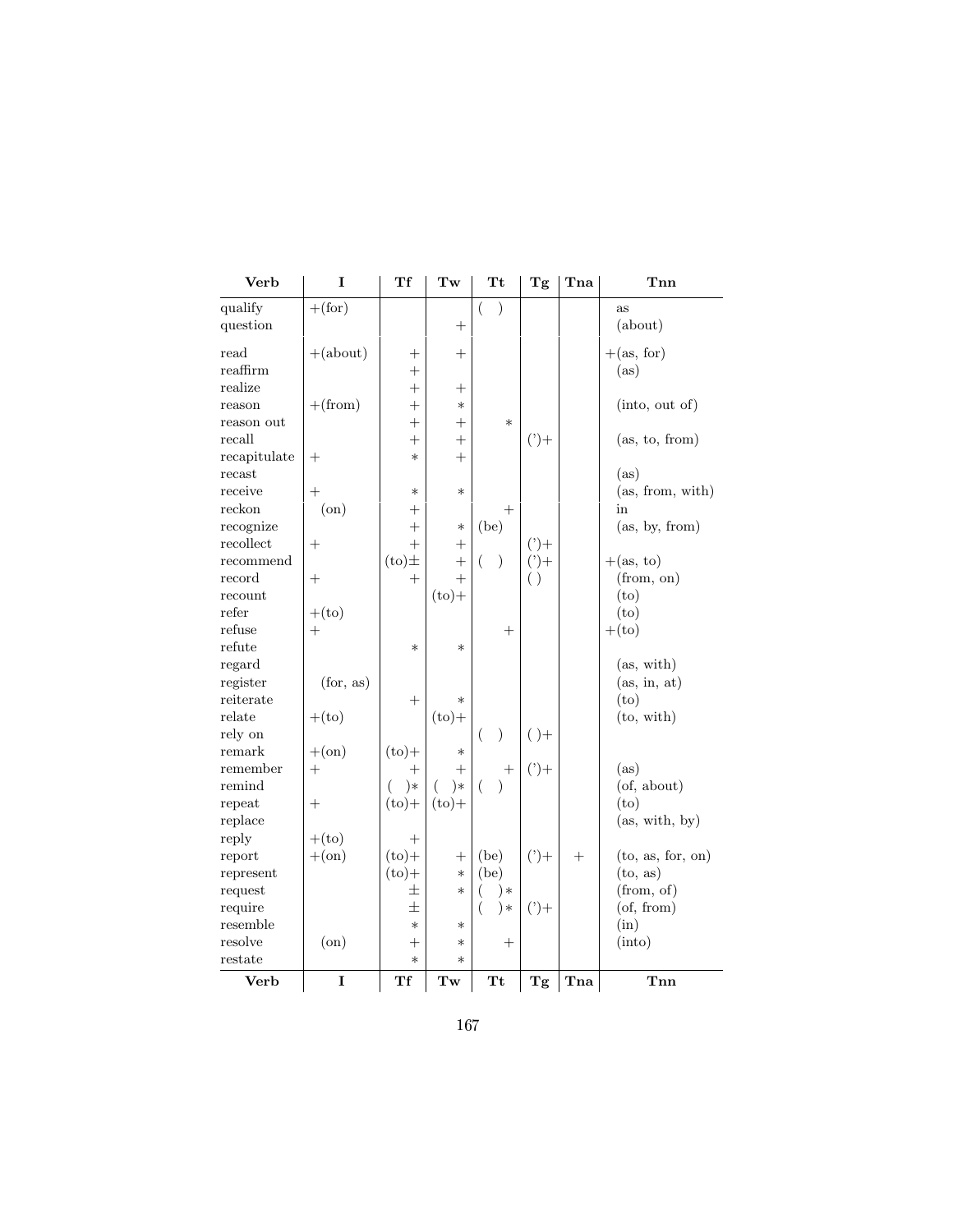| Verb               | I               | Тf                               | Tw                 | Тt                 | Tg      | Tna    | Tnn                       |
|--------------------|-----------------|----------------------------------|--------------------|--------------------|---------|--------|---------------------------|
| qualify            | $+(\text{for})$ |                                  |                    | $\overline{ }$     |         |        | as                        |
| question           |                 |                                  | $^{+}$             |                    |         |        | (about)                   |
| $_{\rm read}$      | $+(about)$      | $^+$                             | $\hspace{0.1mm} +$ |                    |         |        | $+(\text{as, for})$       |
| $_{\rm{reaffirm}}$ |                 | $^{+}$                           |                    |                    |         |        | (as)                      |
| realize            |                 | $^{+}$                           | $+$                |                    |         |        |                           |
| reason             | $+(from)$       | $^{+}$                           | $\ast$             |                    |         |        | (into, out of)            |
| reason out         |                 | $^{+}$                           | $+$                | $\ast$             |         |        |                           |
| recall             |                 | $^{+}$                           |                    |                    | $(')+$  |        | (as, to, from)            |
| recapitulate       | $^{+}$          | $\ast$                           | $+$                |                    |         |        |                           |
| recast             |                 |                                  |                    |                    |         |        | (as)                      |
| receive            | $\pm$           | $\ast$                           | $\ast$             |                    |         |        | (as, from, with)          |
| ${\rm reckon}$     | $($ on $)$      | $^+$                             |                    | $^{+}$             |         |        | in                        |
| recognize          |                 | $+$                              | $\ast$             | (be)               |         |        | (as, by, from)            |
| recollect          | $^{+}$          | $^{+}$                           | $^{+}$             |                    | $(2) +$ |        |                           |
| recommend          |                 | $(to) \pm$                       | $^{+}$             | €<br>$\mathcal{E}$ | $(2) +$ |        | $+(\text{as}, \text{to})$ |
| record             | $^{+}$          | $^{+}$                           | $+$                |                    | ( )     |        | (from, on)                |
| recount            |                 |                                  | $(to) +$           |                    |         |        | (to)                      |
| refer              | $+(to)$         |                                  |                    |                    |         |        | (to)                      |
| refuse             | $^{+}$          |                                  |                    | $^{+}$             |         |        | $+(to)$                   |
| refute             |                 | $\ast$                           | $\ast$             |                    |         |        |                           |
| regard             |                 |                                  |                    |                    |         |        | (as, with)                |
| register           | (for, as)       |                                  |                    |                    |         |        | (as, in, at)              |
| reiterate          |                 | $^{+}$                           | $\ast$             |                    |         |        | (to)                      |
| relate             | $+(to)$         |                                  | $(to) +$           |                    |         |        | (to, with)                |
| rely on            |                 |                                  |                    | )<br>$\left($      | $( )+$  |        |                           |
| remark             | $+(\text{on})$  | $(to)$ +                         | $\ast$             |                    |         |        |                           |
| remember           | $^{+}$          | $^{+}$                           | $+$                | $^+$               | $(2) +$ |        | (as)                      |
| remind             |                 | $) *$<br>(                       | $\left($<br>$)*$   | $\left($           |         |        | $($ of, about $)$         |
| repeat             | $^{+}$          | $(to)$ +                         | $(to) +$           |                    |         |        | (t <sub>O</sub> )         |
| replace            |                 |                                  |                    |                    |         |        | (as, with, by)            |
| reply              | $+(to)$         | $^{+}$                           |                    |                    |         |        |                           |
| report             | $+(\text{on})$  | $(to) +$                         | $^{+}$             | (be)               | $(2) +$ | $^{+}$ | (to, as, for, on)         |
| represent          |                 | $(to) +$                         | $\ast$             | (be)               |         |        | (to, as)                  |
| request            |                 | 士                                | $\ast$             | )∗                 |         |        | (from, of)                |
| require            |                 | $\pm$                            |                    | $\left($<br>$) *$  | $(2) +$ |        | $($ of, from $)$          |
| resemble           |                 | $\ast$                           | $\ast$             |                    |         |        | (in)                      |
| resolve            | $($ on $)$      | $\hspace{0.1mm} +\hspace{0.1mm}$ | $\ast$             | $^+$               |         |        | (into)                    |
| $_{\rm restate}$   |                 | $\ast$                           | $\ast$             |                    |         |        |                           |
| Verb               | I               | Tf                               | Tw                 | <b>Tt</b>          | Tg      | Tna    | Tnn                       |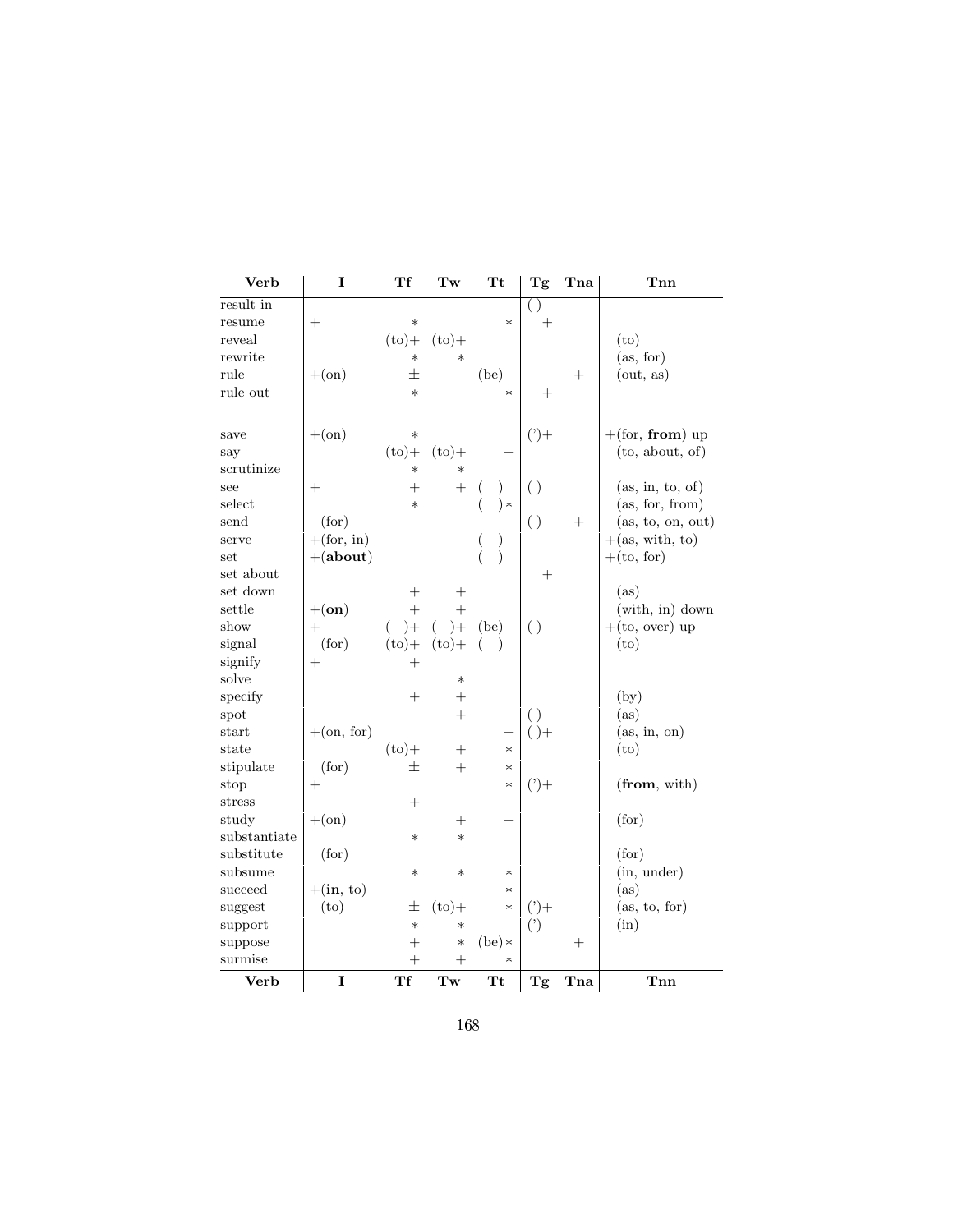| Verb         | I                         | Тf                 | Tw          | <b>Tt</b>                                                                    | Tg                 | Tna    | Tnn               |
|--------------|---------------------------|--------------------|-------------|------------------------------------------------------------------------------|--------------------|--------|-------------------|
| result in    |                           |                    |             |                                                                              | $( \ )$            |        |                   |
| resume       | $^{+}$                    | $\ast$             |             | $\ast$                                                                       | $^{+}$             |        |                   |
| reveal       |                           | $(to) +$           | $(to) +$    |                                                                              |                    |        | (to)              |
| rewrite      |                           | $\ast$             | $\ast$      |                                                                              |                    |        | (as, for)         |
| rule         | $+(\text{on})$            | 士                  |             | (be)                                                                         |                    | $^{+}$ | (out, as)         |
| rule out     |                           | $\ast$             |             | $\ast$                                                                       | $^{+}$             |        |                   |
| save         | $+(\text{on})$            | $\ast$             |             |                                                                              | $(')+$             |        | $+(for, from)$ up |
| say          |                           | $(to) +$           | $(to)$ +    | $^{+}$                                                                       |                    |        | (to, about, of)   |
| scrutinize   |                           | $\ast$             | $\ast$      |                                                                              |                    |        |                   |
| see          | $^+$                      | $^{+}$             | $+$         | $\mathcal{C}$<br>$\left($                                                    | $\left( \ \right)$ |        | (as, in, to, of)  |
| select       |                           | $\ast$             |             | $\left($<br>$) *$                                                            |                    |        | (as, for, from)   |
| send         | (for)                     |                    |             |                                                                              | $\left( \ \right)$ | $^{+}$ | (as, to, on, out) |
| serve        | $+(\text{for, in})$       |                    |             | $\overline{(}$                                                               |                    |        | $+(as, with, to)$ |
| set          | $+(about)$                |                    |             | $\begin{smallmatrix} \downarrow \\ \downarrow \end{smallmatrix}$<br>$\left($ |                    |        | $+(to, for)$      |
| set about    |                           |                    |             |                                                                              | $^{+}$             |        |                   |
| set down     |                           | $^+$               | $^+$        |                                                                              |                    |        | (as)              |
| settle       | $+(\mathbf{on})$          | $^{+}$             | $^{+}$      |                                                                              |                    |        | (with, in) down   |
| show         | $^{+}$                    | $)+$<br>(          | €<br>$^{+}$ | (be)                                                                         | $\left( \ \right)$ |        | $+(to, over)$ up  |
| signal       | (for)                     | $(to)$ +           | $(to) +$    | (<br>$\lambda$                                                               |                    |        | (to)              |
| signify      | $^{+}$                    | $^{+}$             |             |                                                                              |                    |        |                   |
| solve        |                           |                    | $\ast$      |                                                                              |                    |        |                   |
| specify      |                           | $^{+}$             | $^{+}$      |                                                                              |                    |        | (by)              |
| spot         |                           |                    | $+$         |                                                                              | $\left( \ \right)$ |        | (as)              |
| start        | $+(\text{on, for})$       |                    |             | $\hspace{0.1mm} +$                                                           | $( )+$             |        | (as, in, on)      |
| state        |                           | $(to)$ +           | $^{+}$      | $\ast$                                                                       |                    |        | (to)              |
| stipulate    | (for)                     | $\pm$              | $+$         | $\ast$                                                                       |                    |        |                   |
| stop         | $^{+}$                    |                    |             | $\ast$                                                                       | $(2) +$            |        | (from, with)      |
| stress       |                           | $\hspace{0.1mm} +$ |             |                                                                              |                    |        |                   |
| study        | $+(\text{on})$            |                    |             | $\hspace{0.1mm} +$                                                           |                    |        | (for)             |
| substantiate |                           | $\ast$             | $\ast$      |                                                                              |                    |        |                   |
| substitute   | (for)                     |                    |             |                                                                              |                    |        | (for)             |
| subsume      |                           | $\ast$             | $\ast$      | $\ast$                                                                       |                    |        | (in, under)       |
| succeed      | $+(\text{in}, \text{to})$ |                    |             | $\ast$                                                                       |                    |        | (as)              |
| suggest      | (to)                      | 土                  | $(to)$ +    | $\ast$                                                                       | $(2) +$            |        | (as, to, for)     |
| support      |                           | $\ast$             | $\ast$      |                                                                              | $($ ')             |        | (in)              |
| suppose      |                           | $\hspace{0.1mm} +$ | $\ast$      | $(be)*$                                                                      |                    | $^{+}$ |                   |
| surmise      |                           | $^{+}$             | $^{+}$      | $\ast$                                                                       |                    |        |                   |
| Verb         | I                         | Tf                 | Tw          | Tt                                                                           | Tg                 | Tna    | Tnn               |